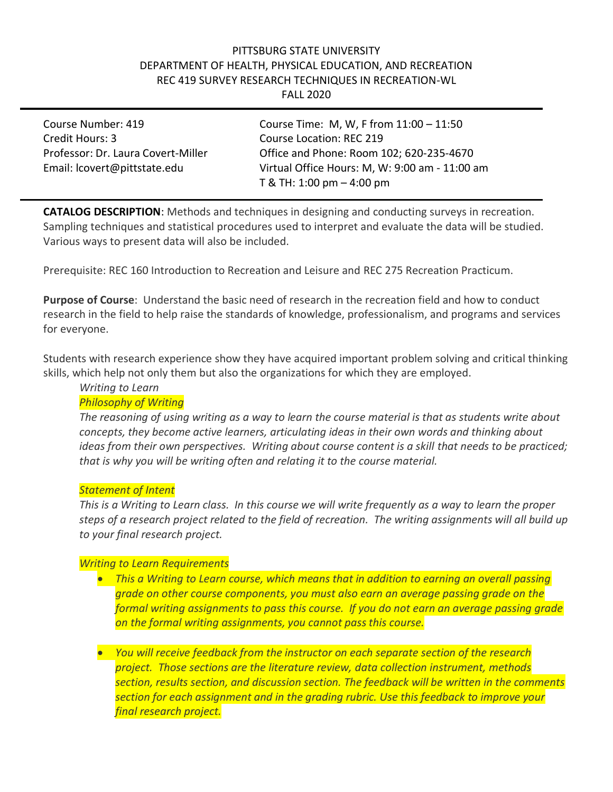#### PITTSBURG STATE UNIVERSITY DEPARTMENT OF HEALTH, PHYSICAL EDUCATION, AND RECREATION REC 419 SURVEY RESEARCH TECHNIQUES IN RECREATION-WL FALL 2020

Credit Hours: 3 Course Location: REC 219

Course Number: 419 Course Time: M, W, F from 11:00 – 11:50 Professor: Dr. Laura Covert-Miller Office and Phone: Room 102; 620-235-4670 Email: lcovert@pittstate.edu Virtual Office Hours: M, W: 9:00 am - 11:00 am T & TH: 1:00 pm – 4:00 pm

**CATALOG DESCRIPTION**: Methods and techniques in designing and conducting surveys in recreation. Sampling techniques and statistical procedures used to interpret and evaluate the data will be studied. Various ways to present data will also be included.

Prerequisite: REC 160 Introduction to Recreation and Leisure and REC 275 Recreation Practicum.

**Purpose of Course**: Understand the basic need of research in the recreation field and how to conduct research in the field to help raise the standards of knowledge, professionalism, and programs and services for everyone.

Students with research experience show they have acquired important problem solving and critical thinking skills, which help not only them but also the organizations for which they are employed.

# *Writing to Learn*

#### *Philosophy of Writing*

*The reasoning of using writing as a way to learn the course material is that as students write about concepts, they become active learners, articulating ideas in their own words and thinking about ideas from their own perspectives. Writing about course content is a skill that needs to be practiced; that is why you will be writing often and relating it to the course material.*

#### *Statement of Intent*

*This is a Writing to Learn class. In this course we will write frequently as a way to learn the proper steps of a research project related to the field of recreation. The writing assignments will all build up to your final research project.*

#### *Writing to Learn Requirements*

• *This a Writing to Learn course, which means that in addition to earning an overall passing grade on other course components, you must also earn an average passing grade on the formal writing assignments to pass this course. If you do not earn an average passing grade on the formal writing assignments, you cannot pass this course.*

• *You will receive feedback from the instructor on each separate section of the research project. Those sections are the literature review, data collection instrument, methods section, results section, and discussion section. The feedback will be written in the comments section for each assignment and in the grading rubric. Use this feedback to improve your final research project.*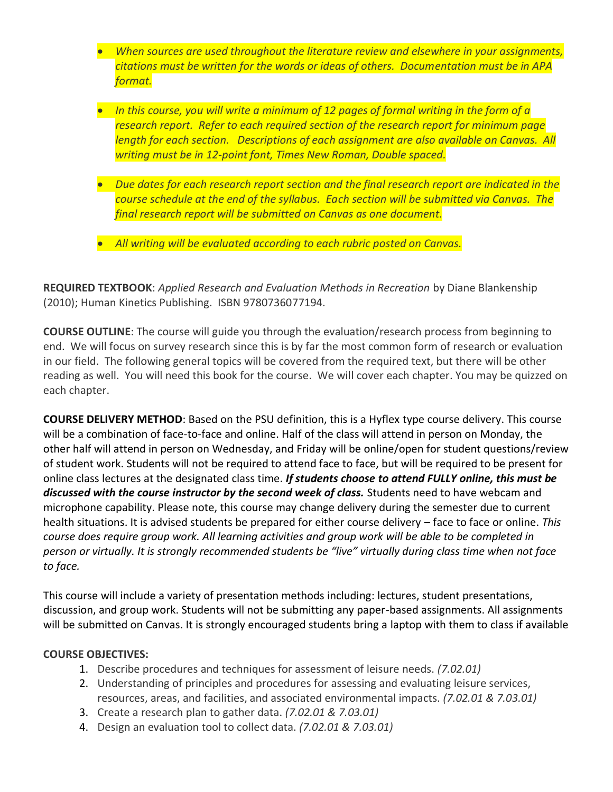- *When sources are used throughout the literature review and elsewhere in your assignments, citations must be written for the words or ideas of others. Documentation must be in APA format.*
- *In this course, you will write a minimum of 12 pages of formal writing in the form of a research report. Refer to each required section of the research report for minimum page length for each section. Descriptions of each assignment are also available on Canvas. All writing must be in 12-point font, Times New Roman, Double spaced.*
- *Due dates for each research report section and the final research report are indicated in the course schedule at the end of the syllabus. Each section will be submitted via Canvas. The final research report will be submitted on Canvas as one document.*
- *All writing will be evaluated according to each rubric posted on Canvas.*

**REQUIRED TEXTBOOK**: *Applied Research and Evaluation Methods in Recreation* by Diane Blankenship (2010); Human Kinetics Publishing. ISBN 9780736077194.

**COURSE OUTLINE**: The course will guide you through the evaluation/research process from beginning to end. We will focus on survey research since this is by far the most common form of research or evaluation in our field. The following general topics will be covered from the required text, but there will be other reading as well. You will need this book for the course. We will cover each chapter. You may be quizzed on each chapter.

**COURSE DELIVERY METHOD**: Based on the PSU definition, this is a Hyflex type course delivery. This course will be a combination of face-to-face and online. Half of the class will attend in person on Monday, the other half will attend in person on Wednesday, and Friday will be online/open for student questions/review of student work. Students will not be required to attend face to face, but will be required to be present for online class lectures at the designated class time. *If students choose to attend FULLY online, this must be discussed with the course instructor by the second week of class.* Students need to have webcam and microphone capability. Please note, this course may change delivery during the semester due to current health situations. It is advised students be prepared for either course delivery – face to face or online. *This course does require group work. All learning activities and group work will be able to be completed in person or virtually. It is strongly recommended students be "live" virtually during class time when not face to face.*

This course will include a variety of presentation methods including: lectures, student presentations, discussion, and group work. Students will not be submitting any paper-based assignments. All assignments will be submitted on Canvas. It is strongly encouraged students bring a laptop with them to class if available

#### **COURSE OBJECTIVES:**

- 1. Describe procedures and techniques for assessment of leisure needs. *(7.02.01)*
- 2. Understanding of principles and procedures for assessing and evaluating leisure services, resources, areas, and facilities, and associated environmental impacts. *(7.02.01 & 7.03.01)*
- 3. Create a research plan to gather data. *(7.02.01 & 7.03.01)*
- 4. Design an evaluation tool to collect data. *(7.02.01 & 7.03.01)*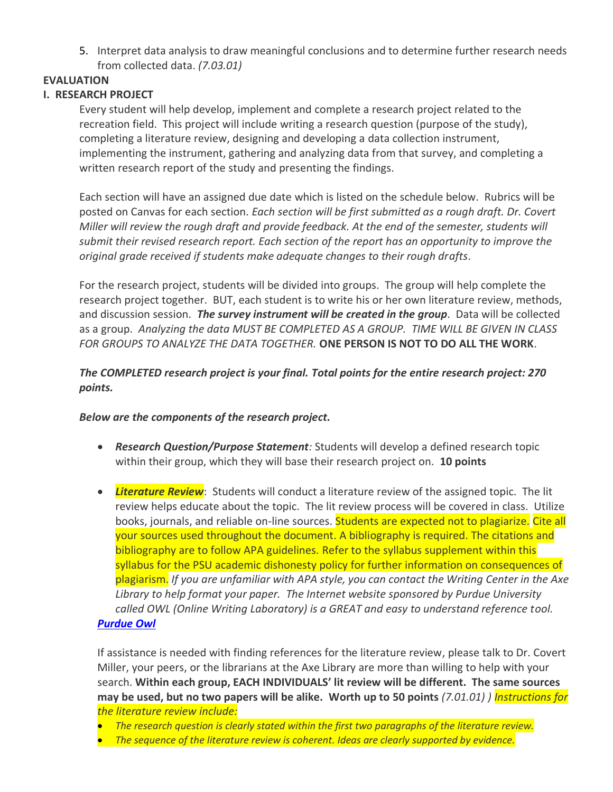5. Interpret data analysis to draw meaningful conclusions and to determine further research needs from collected data. *(7.03.01)*

## **EVALUATION**

## **I. RESEARCH PROJECT**

Every student will help develop, implement and complete a research project related to the recreation field. This project will include writing a research question (purpose of the study), completing a literature review, designing and developing a data collection instrument, implementing the instrument, gathering and analyzing data from that survey, and completing a written research report of the study and presenting the findings.

Each section will have an assigned due date which is listed on the schedule below. Rubrics will be posted on Canvas for each section. *Each section will be first submitted as a rough draft. Dr. Covert Miller will review the rough draft and provide feedback. At the end of the semester, students will submit their revised research report. Each section of the report has an opportunity to improve the original grade received if students make adequate changes to their rough drafts*.

For the research project, students will be divided into groups. The group will help complete the research project together. BUT, each student is to write his or her own literature review, methods, and discussion session. *The survey instrument will be created in the group*. Data will be collected as a group. *Analyzing the data MUST BE COMPLETED AS A GROUP. TIME WILL BE GIVEN IN CLASS FOR GROUPS TO ANALYZE THE DATA TOGETHER.* **ONE PERSON IS NOT TO DO ALL THE WORK**.

# *The COMPLETED research project is your final. Total points for the entire research project: 270 points.*

## *Below are the components of the research project.*

- *Research Question/Purpose Statement:* Students will develop a defined research topic within their group, which they will base their research project on. **10 points**
- *Literature Review*: Students will conduct a literature review of the assigned topic. The lit review helps educate about the topic. The lit review process will be covered in class. Utilize books, journals, and reliable on-line sources. Students are expected not to plagiarize. Cite all your sources used throughout the document. A bibliography is required. The citations and bibliography are to follow APA guidelines. Refer to the syllabus supplement within this syllabus for the PSU academic dishonesty policy for further information on consequences of plagiarism. *If you are unfamiliar with APA style, you can contact the Writing Center in the Axe Library to help format your paper. The Internet website sponsored by Purdue University called OWL (Online Writing Laboratory) is a GREAT and easy to understand reference tool. [Purdue Owl](http://owl.english.purdue.edu/owl/resource/560/01/)*

If assistance is needed with finding references for the literature review, please talk to Dr. Covert Miller, your peers, or the librarians at the Axe Library are more than willing to help with your search. **Within each group, EACH INDIVIDUALS' lit review will be different. The same sources may be used, but no two papers will be alike. Worth up to 50 points** *(7.01.01) ) Instructions for the literature review include:*

- *The research question is clearly stated within the first two paragraphs of the literature review.*
- *The sequence of the literature review is coherent. Ideas are clearly supported by evidence.*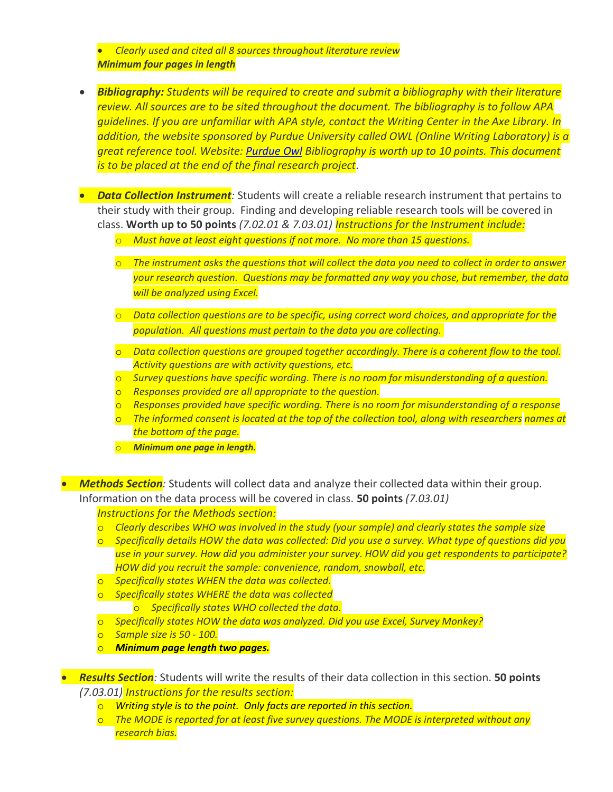• *Clearly used and cited all 8 sources throughout literature review Minimum four pages in length*

- *Bibliography: Students will be required to create and submit a bibliography with their literature review. All sources are to be sited throughout the document. The bibliography is to follow APA guidelines. If you are unfamiliar with APA style, contact the Writing Center in the Axe Library. In addition, the website sponsored by Purdue University called OWL (Online Writing Laboratory) is a great reference tool. Website: [Purdue Owl](http://owl.english.purdue.edu/owl/resource/560/01/) Bibliography is worth up to 10 points. This document is to be placed at the end of the final research project.*
- *Data Collection Instrument:* Students will create a reliable research instrument that pertains to their study with their group. Finding and developing reliable research tools will be covered in class. **Worth up to 50 points** *(7.02.01 & 7.03.01) Instructions for the Instrument include:*
	- o *Must have at least eight questions if not more. No more than 15 questions.*
	- o *The instrument asks the questions that will collect the data you need to collect in order to answer your research question. Questions may be formatted any way you chose, but remember, the data will be analyzed using Excel.*
	- o *Data collection questions are to be specific, using correct word choices, and appropriate for the population. All questions must pertain to the data you are collecting.*
	- o *Data collection questions are grouped together accordingly. There is a coherent flow to the tool. Activity questions are with activity questions, etc.*
	- o *Survey questions have specific wording. There is no room for misunderstanding of a question.*
	- o *Responses provided are all appropriate to the question.*
	- o *Responses provided have specific wording. There is no room for misunderstanding of a response*
	- o *The informed consent is located at the top of the collection tool, along with researchers names at the bottom of the page.*
	- o *Minimum one page in length.*

• *Methods Section:* Students will collect data and analyze their collected data within their group. Information on the data process will be covered in class. **50 points** *(7.03.01)*

#### *Instructions for the Methods section:*

- o *Clearly describes WHO was involved in the study (your sample) and clearly states the sample size*
- o *Specifically details HOW the data was collected: Did you use a survey. What type of questions did you use in your survey. How did you administer your survey. HOW did you get respondents to participate? HOW did you recruit the sample: convenience, random, snowball, etc.*
- o *Specifically states WHEN the data was collected.*
- o *Specifically states WHERE the data was collected* o *Specifically states WHO collected the data.*
- o *Specifically states HOW the data was analyzed. Did you use Excel, Survey Monkey?*
- o *Sample size is 50 - 100.*
- o *Minimum page length two pages.*
- *Results Section:* Students will write the results of their data collection in this section. **50 points**  *(7.03.01) Instructions for the results section:*
	- o *Writing style is to the point. Only facts are reported in this section.*
	- o *The MODE is reported for at least five survey questions. The MODE is interpreted without any research bias.*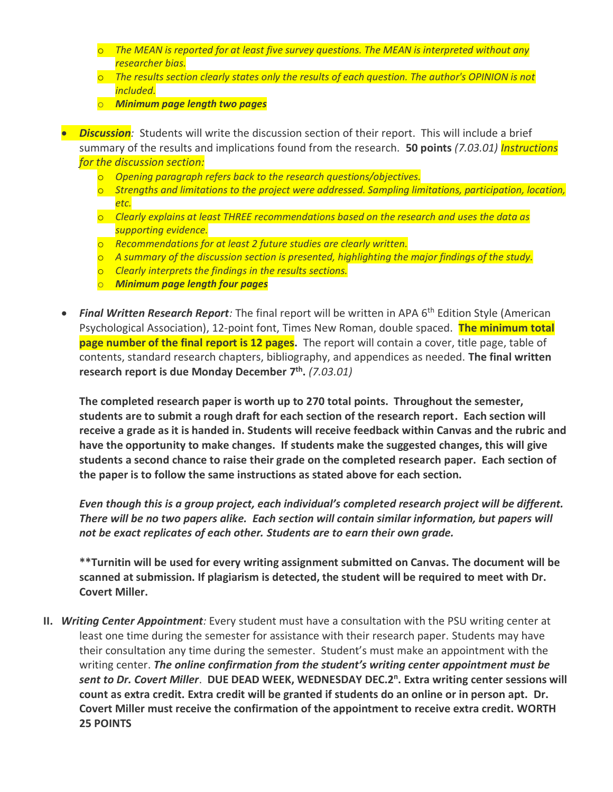- o *The MEAN is reported for at least five survey questions. The MEAN is interpreted without any researcher bias.*
- o *The results section clearly states only the results of each question. The author's OPINION is not included.*
- o *Minimum page length two pages*
- *Discussion:* Students will write the discussion section of their report. This will include a brief summary of the results and implications found from the research. **50 points** *(7.03.01) Instructions for the discussion section:*
	- o *Opening paragraph refers back to the research questions/objectives.*
	- o *Strengths and limitations to the project were addressed. Sampling limitations, participation, location, etc.*
	- o *Clearly explains at least THREE recommendations based on the research and uses the data as supporting evidence.*
	- o *Recommendations for at least 2 future studies are clearly written.*
	- o *A summary of the discussion section is presented, highlighting the major findings of the study.*
	- o *Clearly interprets the findings in the results sections.*
	- o *Minimum page length four pages*
- **Final Written Research Report**: The final report will be written in APA 6<sup>th</sup> Edition Style (American Psychological Association), 12-point font, Times New Roman, double spaced. **The minimum total page number of the final report is 12 pages.** The report will contain a cover, title page, table of contents, standard research chapters, bibliography, and appendices as needed. **The final written research report is due Monday December 7 th .** *(7.03.01)*

**The completed research paper is worth up to 270 total points. Throughout the semester, students are to submit a rough draft for each section of the research report. Each section will receive a grade as it is handed in. Students will receive feedback within Canvas and the rubric and have the opportunity to make changes. If students make the suggested changes, this will give students a second chance to raise their grade on the completed research paper. Each section of the paper is to follow the same instructions as stated above for each section.** 

*Even though this is a group project, each individual's completed research project will be different. There will be no two papers alike. Each section will contain similar information, but papers will not be exact replicates of each other. Students are to earn their own grade.* 

**\*\*Turnitin will be used for every writing assignment submitted on Canvas. The document will be scanned at submission. If plagiarism is detected, the student will be required to meet with Dr. Covert Miller.**

**II.** *Writing Center Appointment:* Every student must have a consultation with the PSU writing center at least one time during the semester for assistance with their research paper. Students may have their consultation any time during the semester. Student's must make an appointment with the writing center. *The online confirmation from the student's writing center appointment must be sent to Dr. Covert Miller*. **DUE DEAD WEEK, WEDNESDAY DEC.2 n . Extra writing center sessions will count as extra credit. Extra credit will be granted if students do an online or in person apt. Dr. Covert Miller must receive the confirmation of the appointment to receive extra credit. WORTH 25 POINTS**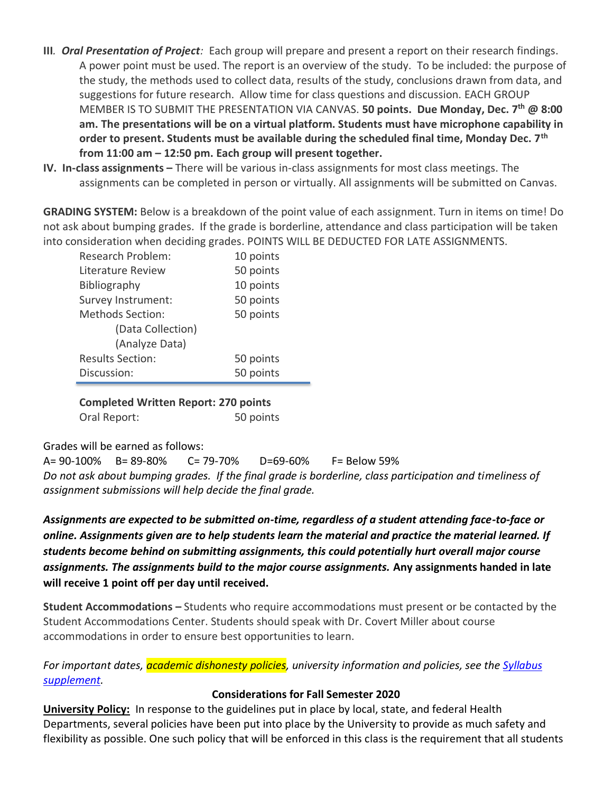- **III***. Oral Presentation of Project:* Each group will prepare and present a report on their research findings. A power point must be used. The report is an overview of the study. To be included: the purpose of the study, the methods used to collect data, results of the study, conclusions drawn from data, and suggestions for future research. Allow time for class questions and discussion. EACH GROUP MEMBER IS TO SUBMIT THE PRESENTATION VIA CANVAS. **50 points. Due Monday, Dec. 7 th @ 8:00 am. The presentations will be on a virtual platform. Students must have microphone capability in order to present. Students must be available during the scheduled final time, Monday Dec. 7th from 11:00 am – 12:50 pm. Each group will present together.**
- **IV. In-class assignments –** There will be various in-class assignments for most class meetings. The assignments can be completed in person or virtually. All assignments will be submitted on Canvas.

**GRADING SYSTEM:** Below is a breakdown of the point value of each assignment. Turn in items on time! Do not ask about bumping grades. If the grade is borderline, attendance and class participation will be taken into consideration when deciding grades. POINTS WILL BE DEDUCTED FOR LATE ASSIGNMENTS.

| <b>Research Problem:</b> | 10 points |
|--------------------------|-----------|
| Literature Review        | 50 points |
| Bibliography             | 10 points |
| Survey Instrument:       | 50 points |
| <b>Methods Section:</b>  | 50 points |
| (Data Collection)        |           |
| (Analyze Data)           |           |
| <b>Results Section:</b>  | 50 points |
| Discussion:              | 50 points |

**Completed Written Report: 270 points** Oral Report: 50 points

Grades will be earned as follows:

A= 90-100% B= 89-80% C= 79-70% D=69-60% F= Below 59% *Do not ask about bumping grades. If the final grade is borderline, class participation and timeliness of assignment submissions will help decide the final grade.*

*Assignments are expected to be submitted on-time, regardless of a student attending face-to-face or online. Assignments given are to help students learn the material and practice the material learned. If students become behind on submitting assignments, this could potentially hurt overall major course assignments. The assignments build to the major course assignments.* **Any assignments handed in late will receive 1 point off per day until received.**

**Student Accommodations –** Students who require accommodations must present or be contacted by the Student Accommodations Center. Students should speak with Dr. Covert Miller about course accommodations in order to ensure best opportunities to learn.

*For important dates, academic dishonesty policies, university information and policies, see the [Syllabus](https://www.pittstate.edu/registrar/_files/documents/syllabus-supplement-fall-2020-updated-7-17-20.pdf)  [supplement.](https://www.pittstate.edu/registrar/_files/documents/syllabus-supplement-fall-2020-updated-7-17-20.pdf)*

## **Considerations for Fall Semester 2020**

**University Policy:** In response to the guidelines put in place by local, state, and federal Health Departments, several policies have been put into place by the University to provide as much safety and flexibility as possible. One such policy that will be enforced in this class is the requirement that all students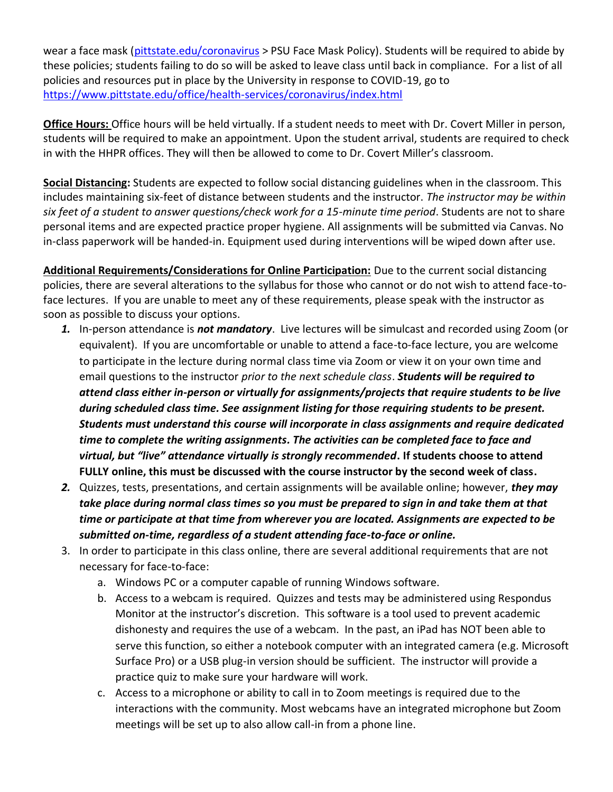wear a face mask [\(pittstate.edu/coronavirus](https://www.pittstate.edu/office/health-services/coronavirus/index.html) > PSU Face Mask Policy). Students will be required to abide by these policies; students failing to do so will be asked to leave class until back in compliance. For a list of all policies and resources put in place by the University in response to COVID-19, go to <https://www.pittstate.edu/office/health-services/coronavirus/index.html>

**Office Hours:** Office hours will be held virtually. If a student needs to meet with Dr. Covert Miller in person, students will be required to make an appointment. Upon the student arrival, students are required to check in with the HHPR offices. They will then be allowed to come to Dr. Covert Miller's classroom.

**Social Distancing:** Students are expected to follow social distancing guidelines when in the classroom. This includes maintaining six-feet of distance between students and the instructor. *The instructor may be within six feet of a student to answer questions/check work for a 15-minute time period*. Students are not to share personal items and are expected practice proper hygiene. All assignments will be submitted via Canvas. No in-class paperwork will be handed-in. Equipment used during interventions will be wiped down after use.

**Additional Requirements/Considerations for Online Participation:** Due to the current social distancing policies, there are several alterations to the syllabus for those who cannot or do not wish to attend face-toface lectures. If you are unable to meet any of these requirements, please speak with the instructor as soon as possible to discuss your options.

- *1.* In-person attendance is *not mandatory*. Live lectures will be simulcast and recorded using Zoom (or equivalent). If you are uncomfortable or unable to attend a face-to-face lecture, you are welcome to participate in the lecture during normal class time via Zoom or view it on your own time and email questions to the instructor *prior to the next schedule class*. *Students will be required to attend class either in-person or virtually for assignments/projects that require students to be live during scheduled class time. See assignment listing for those requiring students to be present. Students must understand this course will incorporate in class assignments and require dedicated time to complete the writing assignments. The activities can be completed face to face and virtual, but "live" attendance virtually is strongly recommended***. If students choose to attend FULLY online, this must be discussed with the course instructor by the second week of class.**
- *2.* Quizzes, tests, presentations, and certain assignments will be available online; however, *they may take place during normal class times so you must be prepared to sign in and take them at that time or participate at that time from wherever you are located. Assignments are expected to be submitted on-time, regardless of a student attending face-to-face or online.*
- 3. In order to participate in this class online, there are several additional requirements that are not necessary for face-to-face:
	- a. Windows PC or a computer capable of running Windows software.
	- b. Access to a webcam is required. Quizzes and tests may be administered using Respondus Monitor at the instructor's discretion. This software is a tool used to prevent academic dishonesty and requires the use of a webcam. In the past, an iPad has NOT been able to serve this function, so either a notebook computer with an integrated camera (e.g. Microsoft Surface Pro) or a USB plug-in version should be sufficient. The instructor will provide a practice quiz to make sure your hardware will work.
	- c. Access to a microphone or ability to call in to Zoom meetings is required due to the interactions with the community. Most webcams have an integrated microphone but Zoom meetings will be set up to also allow call-in from a phone line.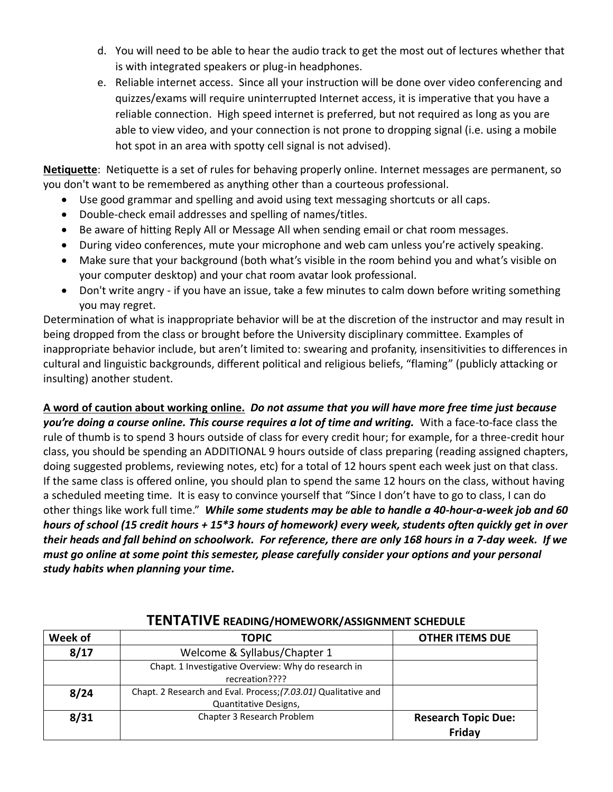- d. You will need to be able to hear the audio track to get the most out of lectures whether that is with integrated speakers or plug-in headphones.
- e. Reliable internet access. Since all your instruction will be done over video conferencing and quizzes/exams will require uninterrupted Internet access, it is imperative that you have a reliable connection. High speed internet is preferred, but not required as long as you are able to view video, and your connection is not prone to dropping signal (i.e. using a mobile hot spot in an area with spotty cell signal is not advised).

**Netiquette**: Netiquette is a set of rules for behaving properly online. Internet messages are permanent, so you don't want to be remembered as anything other than a courteous professional.

- Use good grammar and spelling and avoid using text messaging shortcuts or all caps.
- Double-check email addresses and spelling of names/titles.
- Be aware of hitting Reply All or Message All when sending email or chat room messages.
- During video conferences, mute your microphone and web cam unless you're actively speaking.
- Make sure that your background (both what's visible in the room behind you and what's visible on your computer desktop) and your chat room avatar look professional.
- Don't write angry if you have an issue, take a few minutes to calm down before writing something you may regret.

Determination of what is inappropriate behavior will be at the discretion of the instructor and may result in being dropped from the class or brought before the University disciplinary committee. Examples of inappropriate behavior include, but aren't limited to: swearing and profanity, insensitivities to differences in cultural and linguistic backgrounds, different political and religious beliefs, "flaming" (publicly attacking or insulting) another student.

**A word of caution about working online.** *Do not assume that you will have more free time just because you're doing a course online. This course requires a lot of time and writing.* With a face-to-face class the rule of thumb is to spend 3 hours outside of class for every credit hour; for example, for a three-credit hour class, you should be spending an ADDITIONAL 9 hours outside of class preparing (reading assigned chapters, doing suggested problems, reviewing notes, etc) for a total of 12 hours spent each week just on that class. If the same class is offered online, you should plan to spend the same 12 hours on the class, without having a scheduled meeting time. It is easy to convince yourself that "Since I don't have to go to class, I can do other things like work full time." *While some students may be able to handle a 40-hour-a-week job and 60 hours of school (15 credit hours + 15\*3 hours of homework) every week, students often quickly get in over their heads and fall behind on schoolwork. For reference, there are only 168 hours in a 7-day week. If we must go online at some point this semester, please carefully consider your options and your personal study habits when planning your time.*

| Week of | <b>TOPIC</b>                                                   | <b>OTHER ITEMS DUE</b>     |  |
|---------|----------------------------------------------------------------|----------------------------|--|
| 8/17    | Welcome & Syllabus/Chapter 1                                   |                            |  |
|         | Chapt. 1 Investigative Overview: Why do research in            |                            |  |
|         | recreation????                                                 |                            |  |
| 8/24    | Chapt. 2 Research and Eval. Process; (7.03.01) Qualitative and |                            |  |
|         | Quantitative Designs,                                          |                            |  |
| 8/31    | Chapter 3 Research Problem                                     | <b>Research Topic Due:</b> |  |
|         |                                                                | Friday                     |  |

## **TENTATIVE READING/HOMEWORK/ASSIGNMENT SCHEDULE**